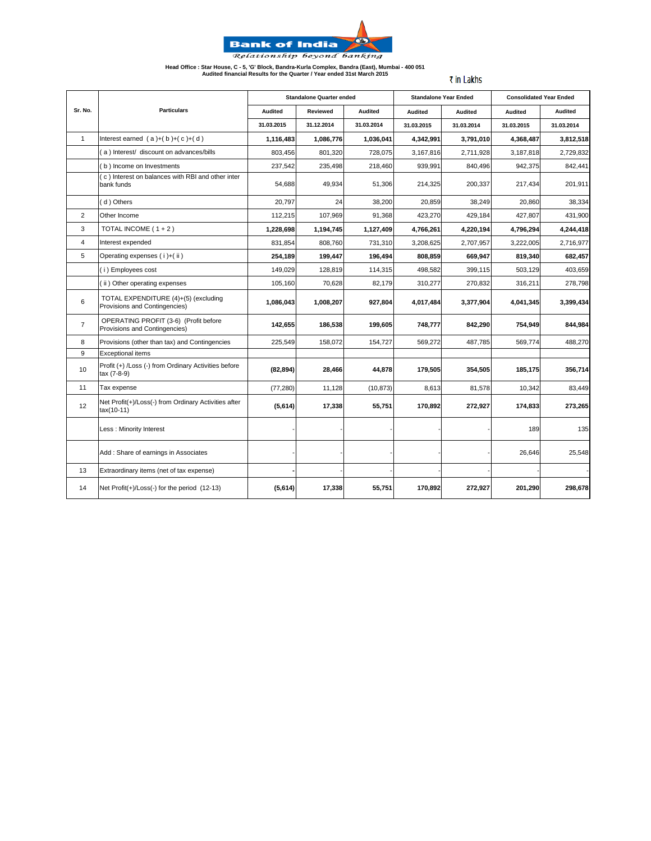

**Head Office : Star House, C - 5, 'G' Block, Bandra-Kurla Complex, Bandra (East), Mumbai - 400 051 Audited financial Results for the Quarter / Year ended 31st March 2015**

₹ in Lakhs

|                |                                                                        |                | <b>Standalone Quarter ended</b> |                |                | <b>Standalone Year Ended</b> | <b>Consolidated Year Ended</b> |                |
|----------------|------------------------------------------------------------------------|----------------|---------------------------------|----------------|----------------|------------------------------|--------------------------------|----------------|
| Sr. No.        | <b>Particulars</b>                                                     | <b>Audited</b> | Reviewed                        | <b>Audited</b> | <b>Audited</b> | <b>Audited</b>               | Audited                        | <b>Audited</b> |
|                |                                                                        | 31.03.2015     | 31.12.2014                      | 31.03.2014     | 31.03.2015     | 31.03.2014                   | 31.03.2015                     | 31.03.2014     |
| $\mathbf{1}$   | Interest earned $(a)+(b)+(c)+(d)$                                      | 1,116,483      | 1,086,776                       | 1,036,041      | 4,342,991      | 3,791,010                    | 4,368,487                      | 3,812,518      |
|                | a) Interest/ discount on advances/bills                                | 803,456        | 801,320                         | 728,075        | 3,167,816      | 2,711,928                    | 3,187,818                      | 2,729,832      |
|                | b) Income on Investments                                               | 237,542        | 235,498                         | 218,460        | 939,991        | 840.496                      | 942,375                        | 842,441        |
|                | (c) Interest on balances with RBI and other inter<br>bank funds        | 54,688         | 49,934                          | 51,306         | 214,325        | 200,337                      | 217,434                        | 201,911        |
|                | (d) Others                                                             | 20,797         | 24                              | 38,200         | 20,859         | 38,249                       | 20.860                         | 38,334         |
| 2              | Other Income                                                           | 112,215        | 107,969                         | 91,368         | 423,270        | 429,184                      | 427,807                        | 431,900        |
| 3              | TOTAL INCOME $(1 + 2)$                                                 | 1,228,698      | 1,194,745                       | 1,127,409      | 4,766,261      | 4,220,194                    | 4,796,294                      | 4,244,418      |
| $\overline{4}$ | Interest expended                                                      | 831,854        | 808,760                         | 731,310        | 3,208,625      | 2,707,957                    | 3,222,005                      | 2,716,977      |
| 5              | Operating expenses (i)+(ii)                                            | 254,189        | 199,447                         | 196,494        | 808,859        | 669,947                      | 819,340                        | 682,457        |
|                | (i) Employees cost                                                     | 149,029        | 128,819                         | 114,315        | 498,582        | 399,115                      | 503,129                        | 403,659        |
|                | (ii) Other operating expenses                                          | 105,160        | 70,628                          | 82,179         | 310,277        | 270,832                      | 316,211                        | 278,798        |
| 6              | TOTAL EXPENDITURE (4)+(5) (excluding<br>Provisions and Contingencies)  | 1,086,043      | 1,008,207                       | 927,804        | 4,017,484      | 3,377,904                    | 4,041,345                      | 3,399,434      |
| $\overline{7}$ | OPERATING PROFIT (3-6) (Profit before<br>Provisions and Contingencies) | 142,655        | 186,538                         | 199,605        | 748,777        | 842,290                      | 754,949                        | 844,984        |
| 8              | Provisions (other than tax) and Contingencies                          | 225,549        | 158,072                         | 154,727        | 569,272        | 487,785                      | 569,774                        | 488,270        |
| 9              | <b>Exceptional items</b>                                               |                |                                 |                |                |                              |                                |                |
| 10             | Profit (+) /Loss (-) from Ordinary Activities before<br>tax (7-8-9)    | (82, 894)      | 28,466                          | 44,878         | 179,505        | 354,505                      | 185,175                        | 356,714        |
| 11             | Tax expense                                                            | (77, 280)      | 11,128                          | (10, 873)      | 8,613          | 81,578                       | 10,342                         | 83,449         |
| 12             | Net Profit(+)/Loss(-) from Ordinary Activities after<br>tax(10-11)     | (5,614)        | 17,338                          | 55,751         | 170,892        | 272,927                      | 174,833                        | 273,265        |
|                | Less: Minority Interest                                                |                |                                 |                |                |                              | 189                            | 135            |
|                | Add: Share of earnings in Associates                                   |                |                                 |                |                |                              | 26,646                         | 25,548         |
| 13             | Extraordinary items (net of tax expense)                               |                |                                 |                |                |                              |                                |                |
| 14             | Net $Profit(+)/Loss(-)$ for the period $(12-13)$                       | (5,614)        | 17,338                          | 55,751         | 170,892        | 272,927                      | 201,290                        | 298,678        |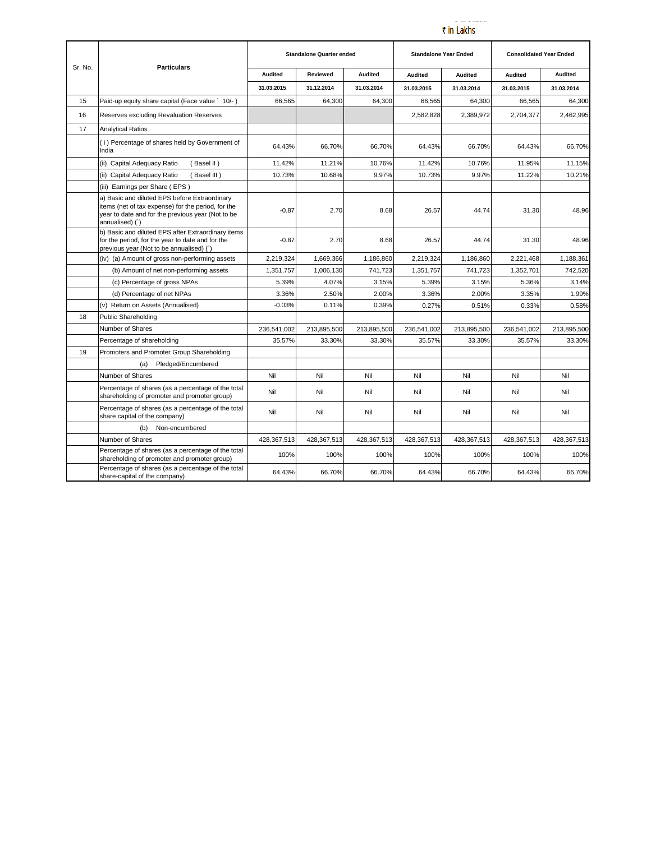## للمستدعات ₹ in Lakhs

| Sr. No. | <b>Particulars</b>                                                                                                                                                          |                | <b>Standalone Quarter ended</b> |                | <b>Standalone Year Ended</b> |                | <b>Consolidated Year Ended</b> |                |
|---------|-----------------------------------------------------------------------------------------------------------------------------------------------------------------------------|----------------|---------------------------------|----------------|------------------------------|----------------|--------------------------------|----------------|
|         |                                                                                                                                                                             | <b>Audited</b> | Reviewed                        | <b>Audited</b> | <b>Audited</b>               | <b>Audited</b> | <b>Audited</b>                 | <b>Audited</b> |
|         |                                                                                                                                                                             | 31.03.2015     | 31.12.2014                      | 31.03.2014     | 31.03.2015                   | 31.03.2014     | 31.03.2015                     | 31.03.2014     |
| 15      | Paid-up equity share capital (Face value ` 10/-)                                                                                                                            | 66.565         | 64.300                          | 64.300         | 66.565                       | 64.300         | 66.565                         | 64,300         |
| 16      | Reserves excluding Revaluation Reserves                                                                                                                                     |                |                                 |                | 2,582,828                    | 2,389,972      | 2,704,377                      | 2,462,995      |
| 17      | <b>Analytical Ratios</b>                                                                                                                                                    |                |                                 |                |                              |                |                                |                |
|         | (i) Percentage of shares held by Government of<br>India                                                                                                                     | 64.43%         | 66.70%                          | 66.70%         | 64.43%                       | 66.70%         | 64.43%                         | 66.70%         |
|         | (ii) Capital Adequacy Ratio<br>(Basel II)                                                                                                                                   | 11.42%         | 11.21%                          | 10.76%         | 11.42%                       | 10.76%         | 11.95%                         | 11.15%         |
|         | (ii) Capital Adequacy Ratio<br>(Basel III)                                                                                                                                  | 10.73%         | 10.68%                          | 9.97%          | 10.73%                       | 9.97%          | 11.22%                         | 10.21%         |
|         | (iii) Earnings per Share (EPS)                                                                                                                                              |                |                                 |                |                              |                |                                |                |
|         | a) Basic and diluted EPS before Extraordinary<br>items (net of tax expense) for the period, for the<br>year to date and for the previous year (Not to be<br>annualised) (`) | $-0.87$        | 2.70                            | 8.68           | 26.57                        | 44.74          | 31.30                          | 48.96          |
|         | b) Basic and diluted EPS after Extraordinary items<br>for the period, for the year to date and for the<br>previous year (Not to be annualised) (`)                          | $-0.87$        | 2.70                            | 8.68           | 26.57                        | 44.74          | 31.30                          | 48.96          |
|         | (iv) (a) Amount of gross non-performing assets                                                                                                                              | 2,219,324      | 1,669,366                       | 1,186,860      | 2,219,324                    | 1,186,860      | 2,221,468                      | 1,188,361      |
|         | (b) Amount of net non-performing assets                                                                                                                                     | 1,351,757      | 1,006,130                       | 741,723        | 1,351,757                    | 741,723        | 1,352,701                      | 742,520        |
|         | (c) Percentage of gross NPAs                                                                                                                                                | 5.39%          | 4.07%                           | 3.15%          | 5.39%                        | 3.15%          | 5.36%                          | 3.14%          |
|         | (d) Percentage of net NPAs                                                                                                                                                  | 3.36%          | 2.50%                           | 2.00%          | 3.36%                        | 2.00%          | 3.35%                          | 1.99%          |
|         | (v) Return on Assets (Annualised)                                                                                                                                           | $-0.03%$       | 0.11%                           | 0.39%          | 0.27%                        | 0.51%          | 0.33%                          | 0.58%          |
| 18      | Public Shareholding                                                                                                                                                         |                |                                 |                |                              |                |                                |                |
|         | Number of Shares                                                                                                                                                            | 236,541,002    | 213.895.500                     | 213,895,500    | 236.541.002                  | 213.895.500    | 236.541.002                    | 213.895.500    |
|         | Percentage of shareholding                                                                                                                                                  | 35.57%         | 33.30%                          | 33.30%         | 35.57%                       | 33.30%         | 35.57%                         | 33.30%         |
| 19      | Promoters and Promoter Group Shareholding                                                                                                                                   |                |                                 |                |                              |                |                                |                |
|         | Pledged/Encumbered<br>(a)                                                                                                                                                   |                |                                 |                |                              |                |                                |                |
|         | Number of Shares                                                                                                                                                            | Nil            | Nil                             | Nil            | Nil                          | Nil            | Nil                            | Nil            |
|         | Percentage of shares (as a percentage of the total<br>shareholding of promoter and promoter group)                                                                          | Nil            | Nil                             | Nil            | Nil                          | Nil            | Nil                            | Nil            |
|         | Percentage of shares (as a percentage of the total<br>share capital of the company)                                                                                         | Nil            | Nil                             | Nil            | Nil                          | Nil            | Nil                            | Nil            |
|         | (b)<br>Non-encumbered                                                                                                                                                       |                |                                 |                |                              |                |                                |                |
|         | Number of Shares                                                                                                                                                            | 428,367,513    | 428,367,513                     | 428,367,513    | 428,367,513                  | 428,367,513    | 428,367,513                    | 428,367,513    |
|         | Percentage of shares (as a percentage of the total<br>shareholding of promoter and promoter group)                                                                          | 100%           | 100%                            | 100%           | 100%                         | 100%           | 100%                           | 100%           |
|         | Percentage of shares (as a percentage of the total<br>share-capital of the company)                                                                                         | 64.43%         | 66.70%                          | 66.70%         | 64.43%                       | 66.70%         | 64.43%                         | 66.70%         |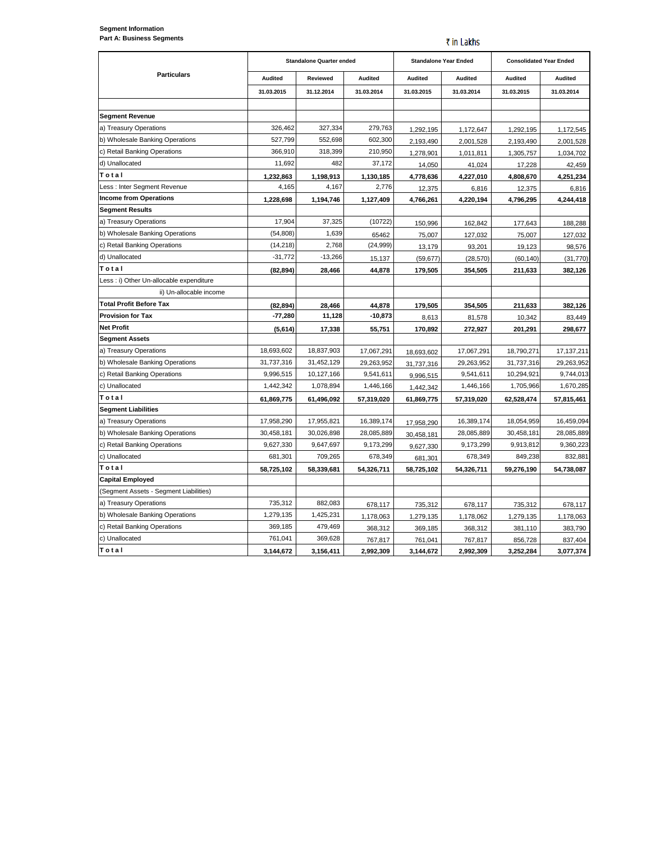₹ in Lakhs

|                                          |                | <b>Standalone Quarter ended</b> |                | <b>Standalone Year Ended</b> |                | <b>Consolidated Year Ended</b> |                |
|------------------------------------------|----------------|---------------------------------|----------------|------------------------------|----------------|--------------------------------|----------------|
| <b>Particulars</b>                       | <b>Audited</b> | Reviewed                        | <b>Audited</b> | <b>Audited</b>               | <b>Audited</b> | Audited                        | <b>Audited</b> |
|                                          | 31.03.2015     | 31.12.2014                      | 31.03.2014     | 31.03.2015                   | 31.03.2014     | 31.03.2015                     | 31.03.2014     |
|                                          |                |                                 |                |                              |                |                                |                |
| <b>Segment Revenue</b>                   |                |                                 |                |                              |                |                                |                |
| a) Treasury Operations                   | 326.462        | 327,334                         | 279,763        | 1,292,195                    | 1,172,647      | 1,292,195                      | 1,172,545      |
| b) Wholesale Banking Operations          | 527,799        | 552,698                         | 602,300        | 2,193,490                    | 2,001,528      | 2,193,490                      | 2,001,528      |
| c) Retail Banking Operations             | 366,910        | 318,399                         | 210,950        | 1,278,901                    | 1,011,811      | 1,305,757                      | 1,034,702      |
| d) Unallocated                           | 11,692         | 482                             | 37,172         | 14,050                       | 41,024         | 17,228                         | 42,459         |
| Total                                    | 1,232,863      | 1,198,913                       | 1,130,185      | 4,778,636                    | 4,227,010      | 4,808,670                      | 4,251,234      |
| Less : Inter Segment Revenue             | 4,165          | 4,167                           | 2,776          | 12,375                       | 6,816          | 12,375                         | 6,816          |
| <b>Income from Operations</b>            | 1,228,698      | 1,194,746                       | 1,127,409      | 4,766,261                    | 4.220.194      | 4.796.295                      | 4,244,418      |
| <b>Segment Results</b>                   |                |                                 |                |                              |                |                                |                |
| a) Treasury Operations                   | 17,904         | 37,325                          | (10722)        | 150,996                      | 162,842        | 177,643                        | 188,288        |
| b) Wholesale Banking Operations          | (54, 808)      | 1,639                           | 65462          | 75,007                       | 127,032        | 75,007                         | 127,032        |
| c) Retail Banking Operations             | (14, 218)      | 2,768                           | (24, 999)      | 13,179                       | 93,201         | 19,123                         | 98,576         |
| d) Unallocated                           | $-31,772$      | $-13,266$                       | 15,137         | (59, 677)                    | (28, 570)      | (60, 140)                      | (31, 770)      |
| Total                                    | (82, 894)      | 28,466                          | 44,878         | 179,505                      | 354,505        | 211,633                        | 382,126        |
| Less : i) Other Un-allocable expenditure |                |                                 |                |                              |                |                                |                |
| ii) Un-allocable income                  |                |                                 |                |                              |                |                                |                |
| <b>Total Profit Before Tax</b>           | (82, 894)      | 28,466                          | 44,878         | 179,505                      | 354,505        | 211,633                        | 382,126        |
| <b>Provision for Tax</b>                 | $-77,280$      | 11,128                          | $-10,873$      | 8,613                        | 81,578         | 10,342                         | 83,449         |
| <b>Net Profit</b>                        | (5,614)        | 17,338                          | 55,751         | 170,892                      | 272,927        | 201,291                        | 298,677        |
| <b>Segment Assets</b>                    |                |                                 |                |                              |                |                                |                |
| a) Treasury Operations                   | 18,693,602     | 18,837,903                      | 17,067,291     | 18,693,602                   | 17,067,291     | 18,790,271                     | 17, 137, 211   |
| b) Wholesale Banking Operations          | 31,737,316     | 31,452,129                      | 29,263,952     | 31,737,316                   | 29,263,952     | 31,737,316                     | 29,263,952     |
| c) Retail Banking Operations             | 9,996,515      | 10,127,166                      | 9,541,611      | 9,996,515                    | 9,541,611      | 10,294,921                     | 9,744,013      |
| c) Unallocated                           | 1,442,342      | 1,078,894                       | 1,446,166      | 1,442,342                    | 1,446,166      | 1,705,966                      | 1,670,285      |
| Total                                    | 61,869,775     | 61,496,092                      | 57,319,020     | 61,869,775                   | 57,319,020     | 62,528,474                     | 57,815,461     |
| <b>Segment Liabilities</b>               |                |                                 |                |                              |                |                                |                |
| a) Treasury Operations                   | 17,958,290     | 17,955,821                      | 16,389,174     | 17,958,290                   | 16,389,174     | 18,054,959                     | 16,459,094     |
| b) Wholesale Banking Operations          | 30,458,181     | 30,026,898                      | 28,085,889     | 30,458,181                   | 28,085,889     | 30,458,181                     | 28,085,889     |
| c) Retail Banking Operations             | 9,627,330      | 9,647,697                       | 9,173,299      | 9,627,330                    | 9,173,299      | 9,913,812                      | 9,360,223      |
| c) Unallocated                           | 681,301        | 709,265                         | 678,349        | 681,301                      | 678,349        | 849,238                        | 832,881        |
| Total                                    | 58,725,102     | 58,339,681                      | 54,326,711     | 58,725,102                   | 54,326,711     | 59,276,190                     | 54,738,087     |
| <b>Capital Employed</b>                  |                |                                 |                |                              |                |                                |                |
| (Segment Assets - Segment Liabilities)   |                |                                 |                |                              |                |                                |                |
| a) Treasury Operations                   | 735.312        | 882.083                         | 678,117        | 735,312                      | 678,117        | 735,312                        | 678,117        |
| b) Wholesale Banking Operations          | 1,279,135      | 1,425,231                       | 1,178,063      | 1,279,135                    | 1,178,062      | 1,279,135                      | 1,178,063      |
| c) Retail Banking Operations             | 369,185        | 479,469                         | 368,312        | 369,185                      | 368,312        | 381,110                        | 383,790        |
| c) Unallocated                           | 761,041        | 369,628                         | 767,817        | 761,041                      | 767,817        | 856,728                        | 837,404        |
| Total                                    | 3,144,672      | 3,156,411                       | 2,992,309      | 3,144,672                    | 2,992,309      | 3,252,284                      | 3,077,374      |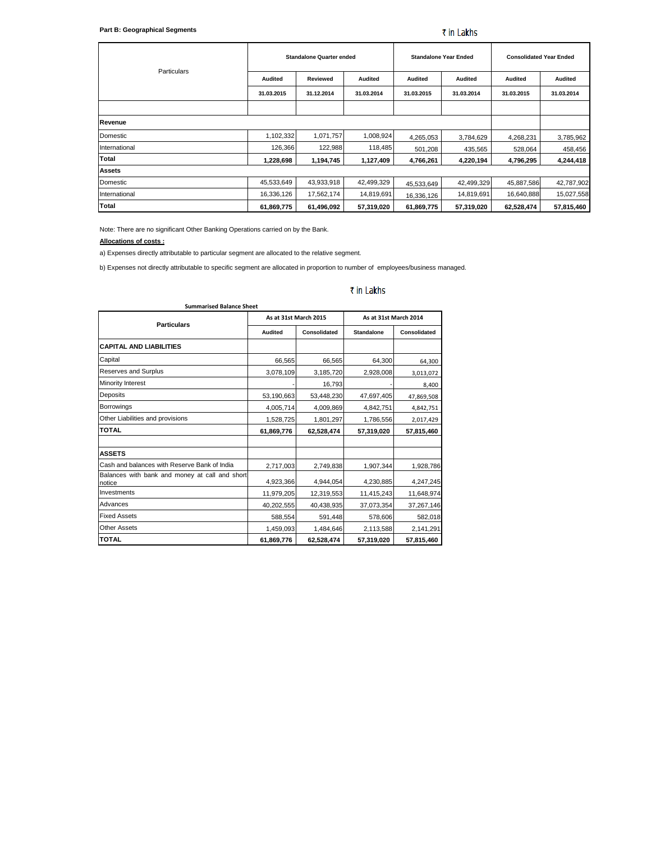| Particulars   |                | <b>Standalone Quarter ended</b> |                |                | <b>Standalone Year Ended</b> |                | <b>Consolidated Year Ended</b> |  |
|---------------|----------------|---------------------------------|----------------|----------------|------------------------------|----------------|--------------------------------|--|
|               | <b>Audited</b> | Reviewed                        | <b>Audited</b> | <b>Audited</b> | <b>Audited</b>               | <b>Audited</b> | <b>Audited</b>                 |  |
|               | 31.03.2015     | 31.12.2014                      | 31.03.2014     | 31.03.2015     | 31.03.2014                   | 31.03.2015     | 31.03.2014                     |  |
|               |                |                                 |                |                |                              |                |                                |  |
| Revenue       |                |                                 |                |                |                              |                |                                |  |
| Domestic      | 1,102,332      | 1,071,757                       | 1,008,924      | 4,265,053      | 3,784,629                    | 4,268,231      | 3,785,962                      |  |
| International | 126,366        | 122,988                         | 118,485        | 501,208        | 435,565                      | 528,064        | 458,456                        |  |
| Total         | 1,228,698      | 1,194,745                       | 1,127,409      | 4,766,261      | 4,220,194                    | 4,796,295      | 4,244,418                      |  |
| <b>Assets</b> |                |                                 |                |                |                              |                |                                |  |
| Domestic      | 45,533,649     | 43,933,918                      | 42,499,329     | 45,533,649     | 42,499,329                   | 45,887,586     | 42,787,902                     |  |
| International | 16,336,126     | 17,562,174                      | 14,819,691     | 16,336,126     | 14,819,691                   | 16,640,888     | 15,027,558                     |  |
| Total         | 61,869,775     | 61,496,092                      | 57,319,020     | 61,869,775     | 57,319,020                   | 62,528,474     | 57,815,460                     |  |

Note: There are no significant Other Banking Operations carried on by the Bank.

## **Allocations of costs :**

a) Expenses directly attributable to particular segment are allocated to the relative segment.

**Summarised Balance Sheet**

b) Expenses not directly attributable to specific segment are allocated in proportion to number of employees/business managed.

| <b>Particulars</b>                                       | As at 31st March 2015 |              | As at 31st March 2014 |                     |  |
|----------------------------------------------------------|-----------------------|--------------|-----------------------|---------------------|--|
|                                                          | <b>Audited</b>        | Consolidated | <b>Standalone</b>     | <b>Consolidated</b> |  |
| <b>CAPITAL AND LIABILITIES</b>                           |                       |              |                       |                     |  |
| Capital                                                  | 66,565                | 66,565       | 64,300                | 64,300              |  |
| Reserves and Surplus                                     | 3,078,109             | 3,185,720    | 2,928,008             | 3,013,072           |  |
| <b>Minority Interest</b>                                 |                       | 16,793       |                       | 8,400               |  |
| Deposits                                                 | 53,190,663            | 53,448,230   | 47,697,405            | 47,869,508          |  |
| <b>Borrowings</b>                                        | 4,005,714             | 4,009,869    | 4,842,751             | 4,842,751           |  |
| Other Liabilities and provisions                         | 1,528,725             | 1,801,297    | 1,786,556             | 2,017,429           |  |
| <b>TOTAL</b>                                             | 61,869,776            | 62,528,474   | 57,319,020            | 57,815,460          |  |
| <b>ASSETS</b>                                            |                       |              |                       |                     |  |
| Cash and balances with Reserve Bank of India             | 2,717,003             | 2,749,838    | 1,907,344             | 1,928,786           |  |
| Balances with bank and money at call and short<br>notice | 4,923,366             | 4,944,054    | 4,230,885             | 4,247,245           |  |
| Investments                                              | 11,979,205            | 12,319,553   | 11,415,243            | 11,648,974          |  |
| Advances                                                 | 40,202,555            | 40,438,935   | 37,073,354            | 37,267,146          |  |
| <b>Fixed Assets</b>                                      | 588,554               | 591,448      | 578,606               | 582,018             |  |
| <b>Other Assets</b>                                      | 1,459,093             | 1,484,646    | 2,113,588             | 2,141,291           |  |
| <b>TOTAL</b>                                             | 61,869,776            | 62,528,474   | 57,319,020            | 57,815,460          |  |

## ₹ in Lakhs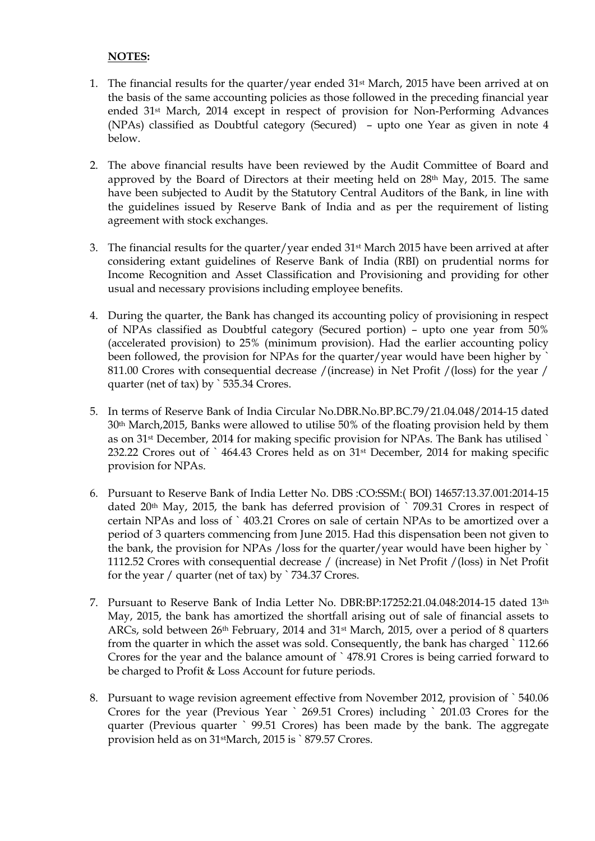## **NOTES:**

- 1. The financial results for the quarter/year ended 31st March, 2015 have been arrived at on the basis of the same accounting policies as those followed in the preceding financial year ended 31st March, 2014 except in respect of provision for Non-Performing Advances (NPAs) classified as Doubtful category (Secured) – upto one Year as given in note 4 below.
- 2. The above financial results have been reviewed by the Audit Committee of Board and approved by the Board of Directors at their meeting held on 28th May, 2015. The same have been subjected to Audit by the Statutory Central Auditors of the Bank, in line with the guidelines issued by Reserve Bank of India and as per the requirement of listing agreement with stock exchanges.
- 3. The financial results for the quarter/year ended 31st March 2015 have been arrived at after considering extant guidelines of Reserve Bank of India (RBI) on prudential norms for Income Recognition and Asset Classification and Provisioning and providing for other usual and necessary provisions including employee benefits.
- 4. During the quarter, the Bank has changed its accounting policy of provisioning in respect of NPAs classified as Doubtful category (Secured portion) – upto one year from 50% (accelerated provision) to 25% (minimum provision). Had the earlier accounting policy been followed, the provision for NPAs for the quarter/year would have been higher by 811.00 Crores with consequential decrease /(increase) in Net Profit /(loss) for the year / quarter (net of tax) by `535.34 Crores.
- 5. In terms of Reserve Bank of India Circular No.DBR.No.BP.BC.79/21.04.048/2014-15 dated 30th March,2015, Banks were allowed to utilise 50% of the floating provision held by them as on 31st December, 2014 for making specific provision for NPAs. The Bank has utilised ` 232.22 Crores out of ` 464.43 Crores held as on 31st December, 2014 for making specific provision for NPAs.
- 6. Pursuant to Reserve Bank of India Letter No. DBS :CO:SSM:( BOI) 14657:13.37.001:2014-15 dated 20th May, 2015, the bank has deferred provision of ` 709.31 Crores in respect of certain NPAs and loss of ` 403.21 Crores on sale of certain NPAs to be amortized over a period of 3 quarters commencing from June 2015. Had this dispensation been not given to the bank, the provision for NPAs /loss for the quarter/year would have been higher by ` 1112.52 Crores with consequential decrease / (increase) in Net Profit /(loss) in Net Profit for the year / quarter (net of tax) by ` 734.37 Crores.
- 7. Pursuant to Reserve Bank of India Letter No. DBR:BP:17252:21.04.048:2014-15 dated 13th May, 2015, the bank has amortized the shortfall arising out of sale of financial assets to ARCs, sold between 26th February, 2014 and 31st March, 2015, over a period of 8 quarters from the quarter in which the asset was sold. Consequently, the bank has charged ` 112.66 Crores for the year and the balance amount of ` 478.91 Crores is being carried forward to be charged to Profit & Loss Account for future periods.
- 8. Pursuant to wage revision agreement effective from November 2012, provision of ` 540.06 Crores for the year (Previous Year ` 269.51 Crores) including ` 201.03 Crores for the quarter (Previous quarter ` 99.51 Crores) has been made by the bank. The aggregate provision held as on 31stMarch, 2015 is ` 879.57 Crores.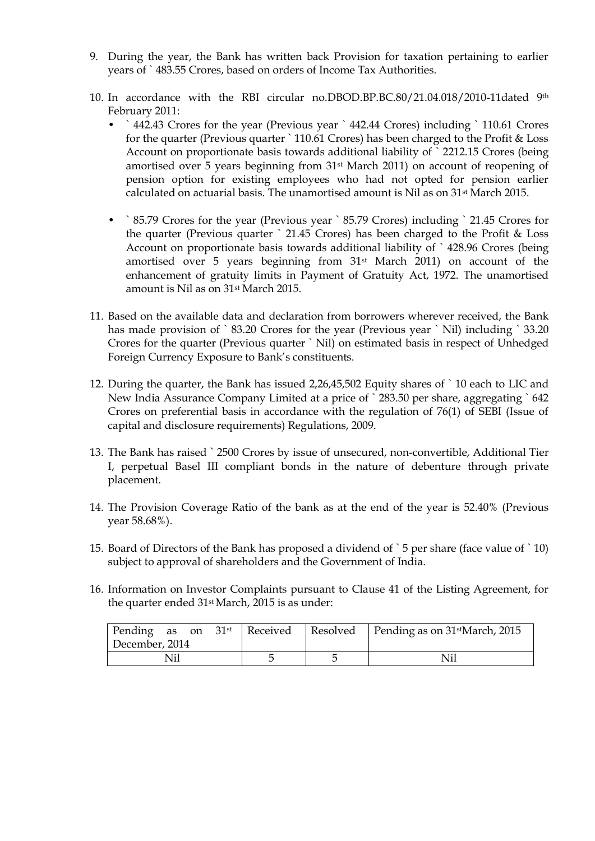- 9. During the year, the Bank has written back Provision for taxation pertaining to earlier years of ` 483.55 Crores, based on orders of Income Tax Authorities.
- 10. In accordance with the RBI circular no.DBOD.BP.BC.80/21.04.018/2010-11dated 9th February 2011:
	- ` 442.43 Crores for the year (Previous year ` 442.44 Crores) including ` 110.61 Crores for the quarter (Previous quarter ` 110.61 Crores) has been charged to the Profit & Loss Account on proportionate basis towards additional liability of ` 2212.15 Crores (being amortised over 5 years beginning from 31st March 2011) on account of reopening of pension option for existing employees who had not opted for pension earlier calculated on actuarial basis. The unamortised amount is Nil as on 31st March 2015.
	- ` 85.79 Crores for the year (Previous year ` 85.79 Crores) including ` 21.45 Crores for the quarter (Previous quarter ` 21.45 Crores) has been charged to the Profit & Loss Account on proportionate basis towards additional liability of ` 428.96 Crores (being amortised over 5 years beginning from 31st March 2011) on account of the enhancement of gratuity limits in Payment of Gratuity Act, 1972. The unamortised amount is Nil as on 31st March 2015.
- 11. Based on the available data and declaration from borrowers wherever received, the Bank has made provision of `83.20 Crores for the year (Previous year `Nil) including `33.20 Crores for the quarter (Previous quarter ` Nil) on estimated basis in respect of Unhedged Foreign Currency Exposure to Bank's constituents.
- 12. During the quarter, the Bank has issued 2,26,45,502 Equity shares of ` 10 each to LIC and New India Assurance Company Limited at a price of ` 283.50 per share, aggregating ` 642 Crores on preferential basis in accordance with the regulation of 76(1) of SEBI (Issue of capital and disclosure requirements) Regulations, 2009.
- 13. The Bank has raised ` 2500 Crores by issue of unsecured, non-convertible, Additional Tier I, perpetual Basel III compliant bonds in the nature of debenture through private placement.
- 14. The Provision Coverage Ratio of the bank as at the end of the year is 52.40% (Previous year 58.68%).
- 15. Board of Directors of the Bank has proposed a dividend of ` 5 per share (face value of ` 10) subject to approval of shareholders and the Government of India.
- 16. Information on Investor Complaints pursuant to Clause 41 of the Listing Agreement, for the quarter ended 31st March, 2015 is as under:

|                |  | Pending as on $31^{st}$ Received Resolved Pending as on $31^{st}$ March, 2015 |
|----------------|--|-------------------------------------------------------------------------------|
| December, 2014 |  |                                                                               |
|                |  | Nil                                                                           |